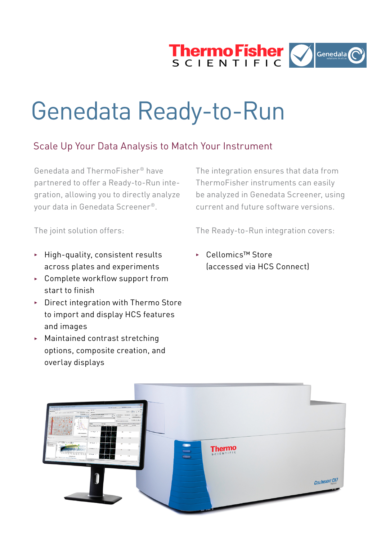

# Genedata Ready-to-Run

## Scale Up Your Data Analysis to Match Your Instrument

Genedata and ThermoFisher® have partnered to offer a Ready-to-Run integration, allowing you to directly analyze your data in Genedata Screener®.

The integration ensures that data from ThermoFisher instruments can easily be analyzed in Genedata Screener, using current and future software versions.

The joint solution offers:

The Ready-to-Run integration covers:

- $\blacktriangleright$  High-quality, consistent results across plates and experiments
- ▶ Complete workflow support from start to finish
- $\triangleright$  Direct integration with Thermo Store to import and display HCS features and images
- $\blacktriangleright$  Maintained contrast stretching options, composite creation, and overlay displays

<sup>3</sup> Cellomics™ Store (accessed via HCS Connect)